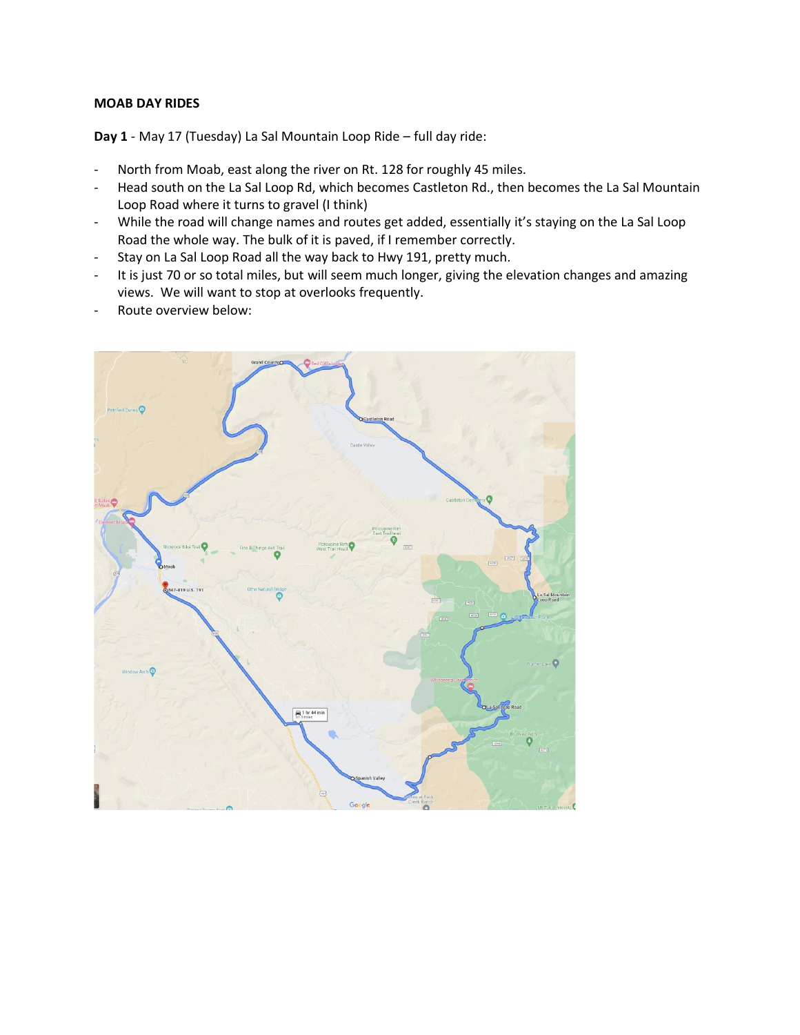## **MOAB DAY RIDES**

**Day 1** - May 17 (Tuesday) La Sal Mountain Loop Ride – full day ride:

- North from Moab, east along the river on Rt. 128 for roughly 45 miles.
- Head south on the La Sal Loop Rd, which becomes Castleton Rd., then becomes the La Sal Mountain Loop Road where it turns to gravel (I think)
- While the road will change names and routes get added, essentially it's staying on the La Sal Loop Road the whole way. The bulk of it is paved, if I remember correctly.
- Stay on La Sal Loop Road all the way back to Hwy 191, pretty much.
- It is just 70 or so total miles, but will seem much longer, giving the elevation changes and amazing views. We will want to stop at overlooks frequently.
- Route overview below:

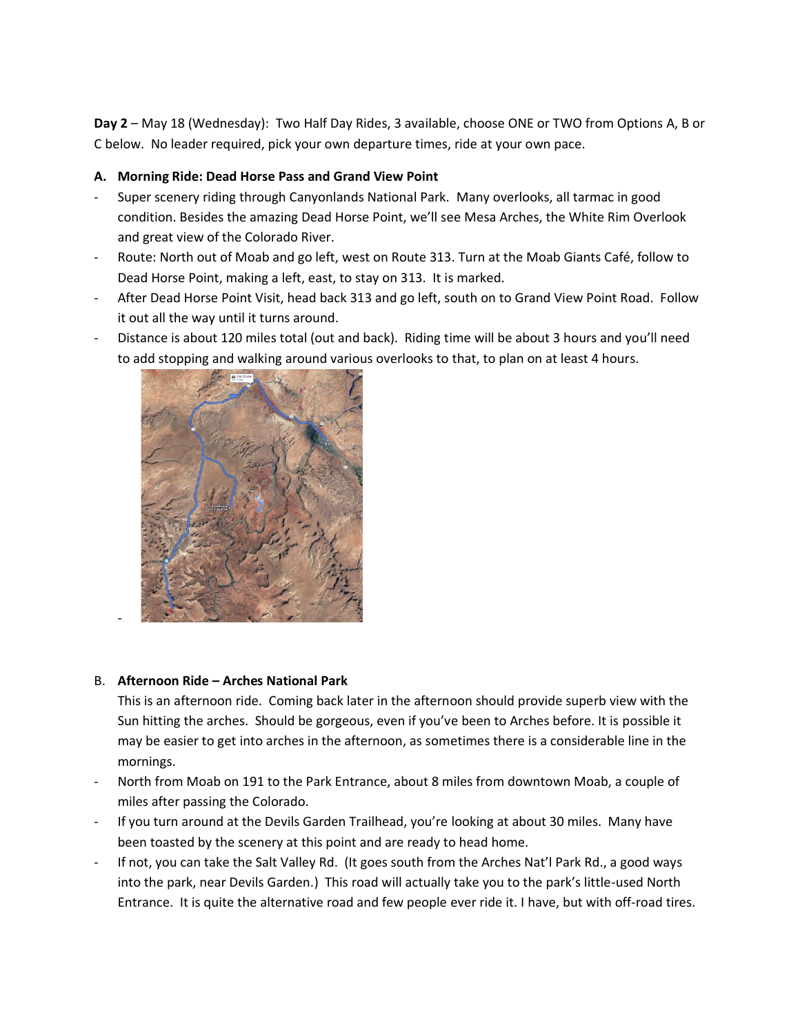**Day 2** – May 18 (Wednesday): Two Half Day Rides, 3 available, choose ONE or TWO from Options A, B or C below. No leader required, pick your own departure times, ride at your own pace.

## **A. Morning Ride: Dead Horse Pass and Grand View Point**

- Super scenery riding through Canyonlands National Park. Many overlooks, all tarmac in good condition. Besides the amazing Dead Horse Point, we'll see Mesa Arches, the White Rim Overlook and great view of the Colorado River.
- Route: North out of Moab and go left, west on Route 313. Turn at the Moab Giants Café, follow to Dead Horse Point, making a left, east, to stay on 313. It is marked.
- After Dead Horse Point Visit, head back 313 and go left, south on to Grand View Point Road. Follow it out all the way until it turns around.
- Distance is about 120 miles total (out and back). Riding time will be about 3 hours and you'll need to add stopping and walking around various overlooks to that, to plan on at least 4 hours.



## B. **Afternoon Ride – Arches National Park**

-

This is an afternoon ride. Coming back later in the afternoon should provide superb view with the Sun hitting the arches. Should be gorgeous, even if you've been to Arches before. It is possible it may be easier to get into arches in the afternoon, as sometimes there is a considerable line in the mornings.

- North from Moab on 191 to the Park Entrance, about 8 miles from downtown Moab, a couple of miles after passing the Colorado.
- If you turn around at the Devils Garden Trailhead, you're looking at about 30 miles. Many have been toasted by the scenery at this point and are ready to head home.
- If not, you can take the Salt Valley Rd. (It goes south from the Arches Nat'l Park Rd., a good ways into the park, near Devils Garden.) This road will actually take you to the park's little-used North Entrance. It is quite the alternative road and few people ever ride it. I have, but with off-road tires.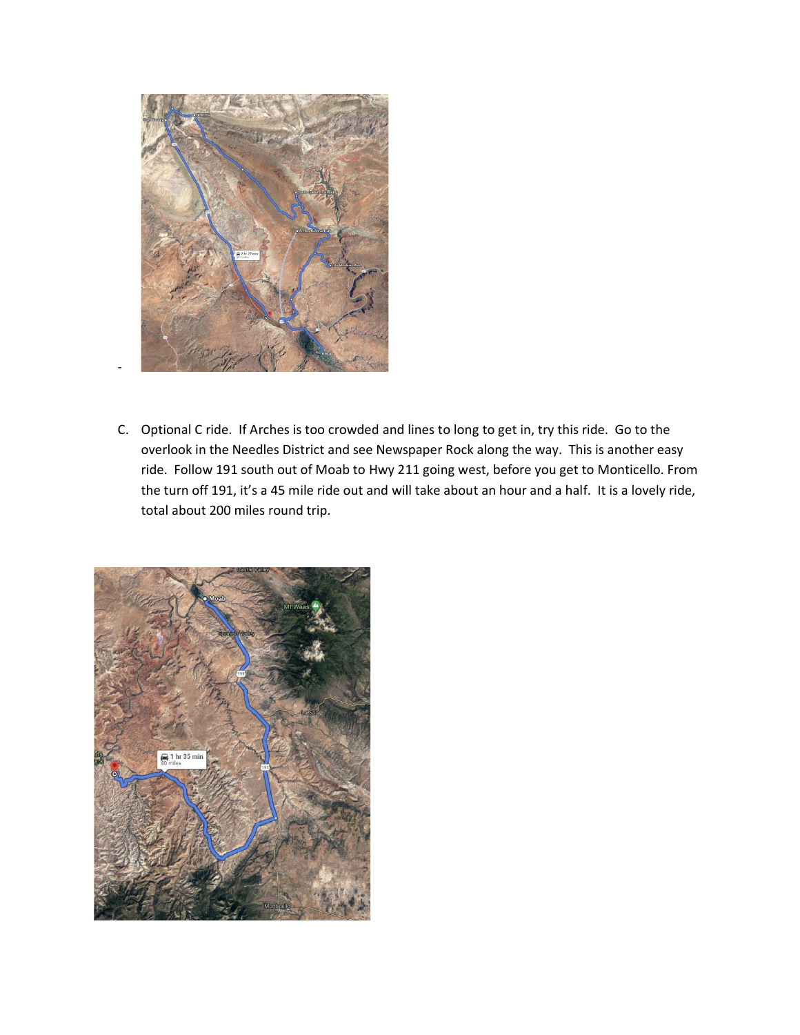

-

C. Optional C ride. If Arches is too crowded and lines to long to get in, try this ride. Go to the overlook in the Needles District and see Newspaper Rock along the way. This is another easy ride. Follow 191 south out of Moab to Hwy 211 going west, before you get to Monticello. From the turn off 191, it's a 45 mile ride out and will take about an hour and a half. It is a lovely ride, total about 200 miles round trip.